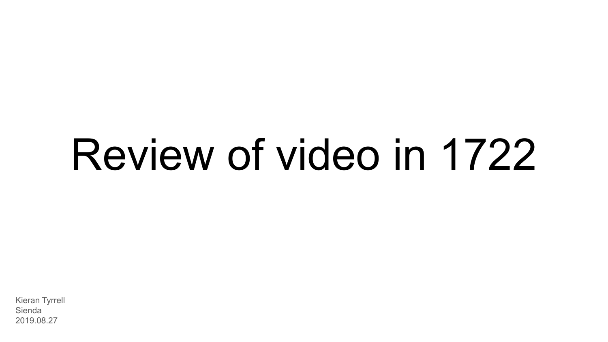# Review of video in 1722

Kieran Tyrrell Sienda 2019.08.27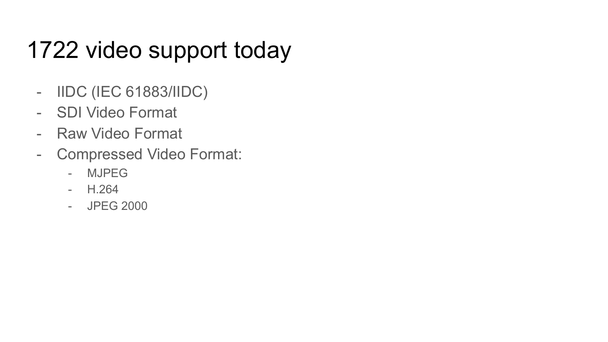# 1722 video support today

- IIDC (IEC 61883/IIDC)
- SDI Video Format
- Raw Video Format
- Compressed Video Format:
	- MJPEG
	- H.264
	- JPEG 2000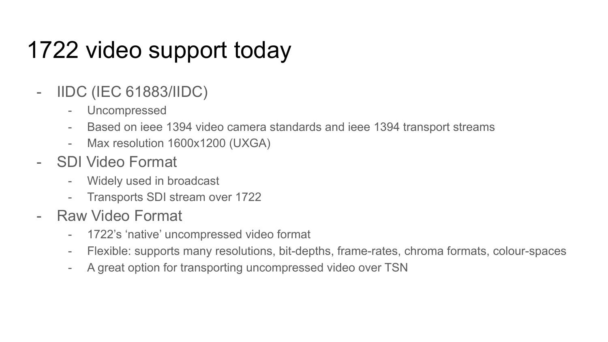# 1722 video support today

- IIDC (IEC 61883/IIDC)
	- Uncompressed
	- Based on ieee 1394 video camera standards and ieee 1394 transport streams
	- Max resolution 1600x1200 (UXGA)
- SDI Video Format
	- Widely used in broadcast
	- Transports SDI stream over 1722
- Raw Video Format
	- 1722's 'native' uncompressed video format
	- Flexible: supports many resolutions, bit-depths, frame-rates, chroma formats, colour-spaces
	- A great option for transporting uncompressed video over TSN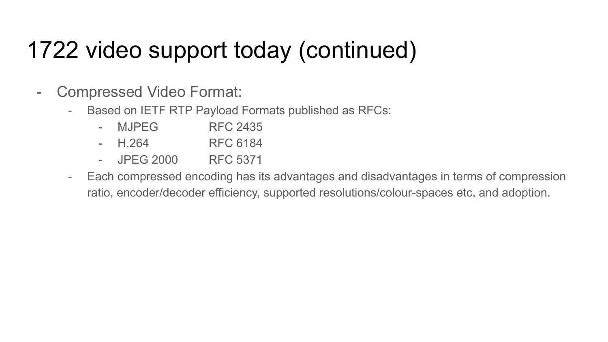## 1722 video support today (continued)

- Compressed Video Format:
	- Based on IETF RTP Payload Formats published as RFCs:
		- MJPEG RFC 2435
		- H.264 RFC 6184
		- JPEG 2000 RFC 5371
	- Each compressed encoding has its advantages and disadvantages in terms of compression ratio, encoder/decoder efficiency, supported resolutions/colour-spaces etc, and adoption.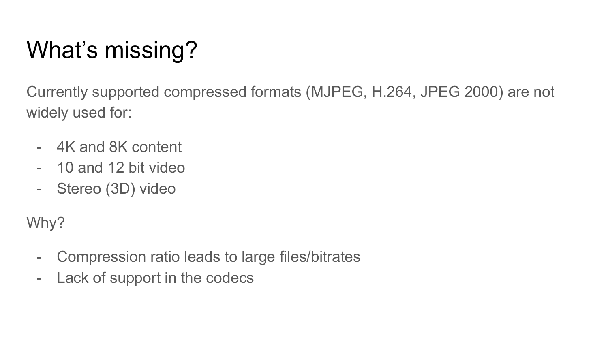# What's missing?

Currently supported compressed formats (MJPEG, H.264, JPEG 2000) are not widely used for:

- 4K and 8K content
- 10 and 12 bit video
- Stereo (3D) video

Why?

- Compression ratio leads to large files/bitrates
- Lack of support in the codecs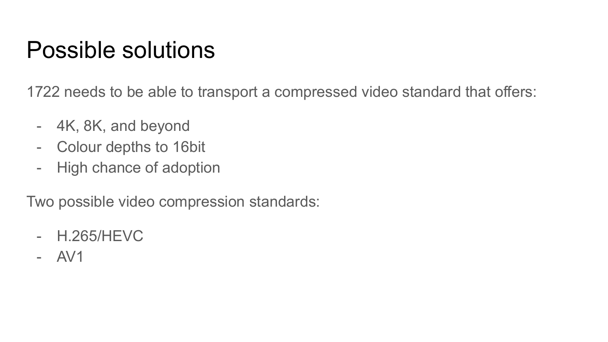#### Possible solutions

1722 needs to be able to transport a compressed video standard that offers:

- 4K, 8K, and beyond
- Colour depths to 16bit
- High chance of adoption

Two possible video compression standards:

- H.265/HEVC
- AV1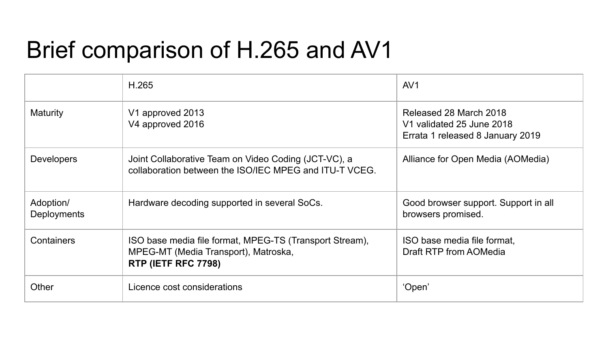### Brief comparison of H.265 and AV1

|                          | H.265                                                                                                                  | AV <sub>1</sub>                                                                         |
|--------------------------|------------------------------------------------------------------------------------------------------------------------|-----------------------------------------------------------------------------------------|
| Maturity                 | V1 approved 2013<br>V4 approved 2016                                                                                   | Released 28 March 2018<br>V1 validated 25 June 2018<br>Errata 1 released 8 January 2019 |
| <b>Developers</b>        | Joint Collaborative Team on Video Coding (JCT-VC), a<br>collaboration between the ISO/IEC MPEG and ITU-T VCEG.         | Alliance for Open Media (AOMedia)                                                       |
| Adoption/<br>Deployments | Hardware decoding supported in several SoCs.                                                                           | Good browser support. Support in all<br>browsers promised.                              |
| Containers               | ISO base media file format, MPEG-TS (Transport Stream),<br>MPEG-MT (Media Transport), Matroska,<br>RTP (IETF RFC 7798) | ISO base media file format,<br>Draft RTP from AOMedia                                   |
| Other                    | Licence cost considerations                                                                                            | 'Open'                                                                                  |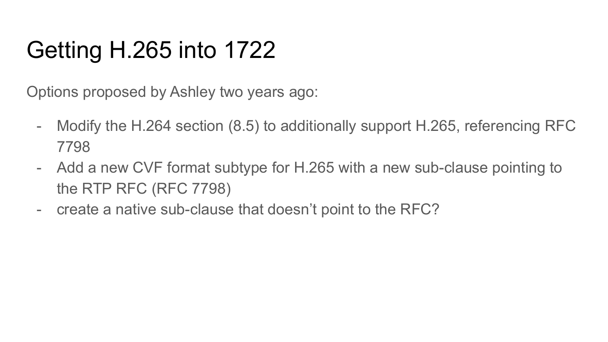# Getting H.265 into 1722

Options proposed by Ashley two years ago:

- Modify the H.264 section (8.5) to additionally support H.265, referencing RFC 7798
- Add a new CVF format subtype for H.265 with a new sub-clause pointing to the RTP RFC (RFC 7798)
- create a native sub-clause that doesn't point to the RFC?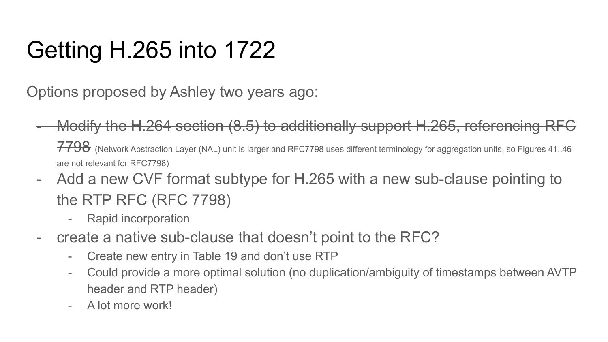# Getting H.265 into 1722

Options proposed by Ashley two years ago:

- Modify the H.264 section (8.5) to additionally support H.265, referencing RFC 7798 (Network Abstraction Layer (NAL) unit is larger and RFC7798 uses different terminology for aggregation units, so Figures 41.46 are not relevant for RFC7798)
- Add a new CVF format subtype for H.265 with a new sub-clause pointing to the RTP RFC (RFC 7798)
	- Rapid incorporation
- create a native sub-clause that doesn't point to the RFC?
	- Create new entry in Table 19 and don't use RTP
	- Could provide a more optimal solution (no duplication/ambiguity of timestamps between AVTP header and RTP header)
	- A lot more work!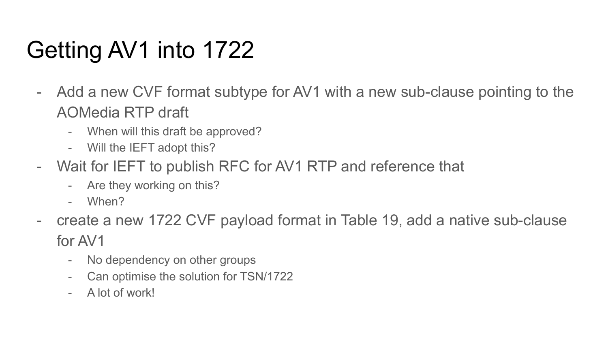# Getting AV1 into 1722

- Add a new CVF format subtype for AV1 with a new sub-clause pointing to the AOMedia RTP draft
	- When will this draft be approved?
	- Will the IEFT adopt this?
- Wait for IEFT to publish RFC for AV1 RTP and reference that
	- Are they working on this?
	- When?
- create a new 1722 CVF payload format in Table 19, add a native sub-clause for AV1
	- No dependency on other groups
	- Can optimise the solution for TSN/1722
	- A lot of work!